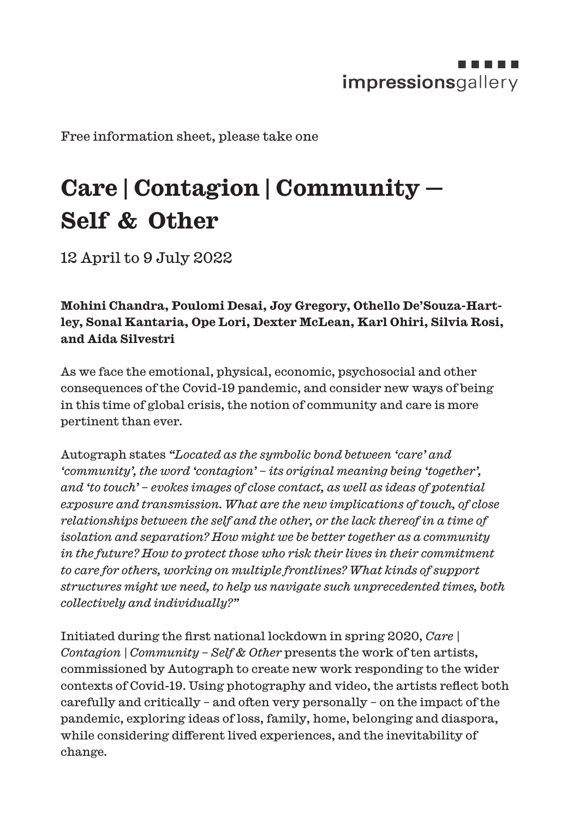

Free information sheet, please take one

## **Care | Contagion | Community — Self & Other**

12 April to 9 July 2022

**Mohini Chandra, Poulomi Desai, Joy Gregory, Othello De'Souza-Hartley, Sonal Kantaria, Ope Lori, Dexter McLean, Karl Ohiri, Silvia Rosi, and Aida Silvestri**

As we face the emotional, physical, economic, psychosocial and other consequences of the Covid-19 pandemic, and consider new ways of being in this time of global crisis, the notion of community and care is more pertinent than ever.

Autograph states *"Located as the symbolic bond between 'care' and 'community', the word 'contagion' – its original meaning being 'together', and 'to touch' – evokes images of close contact, as well as ideas of potential exposure and transmission. What are the new implications of touch, of close relationships between the self and the other, or the lack thereof in a time of isolation and separation? How might we be better together as a community in the future? How to protect those who risk their lives in their commitment to care for others, working on multiple frontlines? What kinds of support structures might we need, to help us navigate such unprecedented times, both collectively and individually?"*

Initiated during the first national lockdown in spring 2020, *Care | Contagion | Community – Self & Other* presents the work of ten artists, commissioned by Autograph to create new work responding to the wider contexts of Covid-19. Using photography and video, the artists reflect both carefully and critically – and often very personally – on the impact of the pandemic, exploring ideas of loss, family, home, belonging and diaspora, while considering different lived experiences, and the inevitability of change.